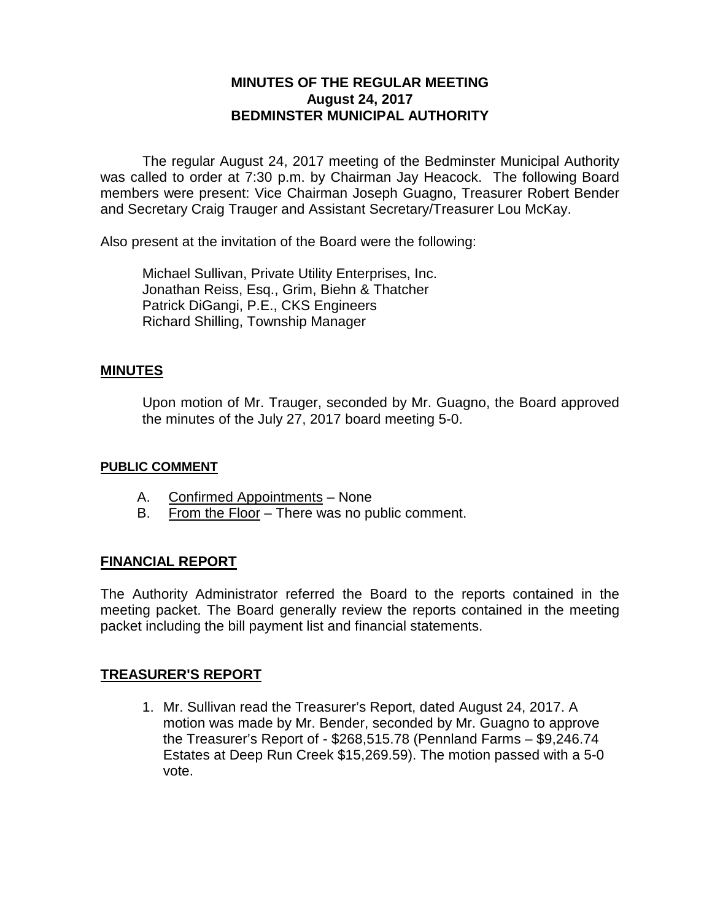# **MINUTES OF THE REGULAR MEETING August 24, 2017 BEDMINSTER MUNICIPAL AUTHORITY**

The regular August 24, 2017 meeting of the Bedminster Municipal Authority was called to order at 7:30 p.m. by Chairman Jay Heacock. The following Board members were present: Vice Chairman Joseph Guagno, Treasurer Robert Bender and Secretary Craig Trauger and Assistant Secretary/Treasurer Lou McKay.

Also present at the invitation of the Board were the following:

Michael Sullivan, Private Utility Enterprises, Inc. Jonathan Reiss, Esq., Grim, Biehn & Thatcher Patrick DiGangi, P.E., CKS Engineers Richard Shilling, Township Manager

# **MINUTES**

Upon motion of Mr. Trauger, seconded by Mr. Guagno, the Board approved the minutes of the July 27, 2017 board meeting 5-0.

### **PUBLIC COMMENT**

- A. Confirmed Appointments None
- B. From the Floor There was no public comment.

# **FINANCIAL REPORT**

The Authority Administrator referred the Board to the reports contained in the meeting packet. The Board generally review the reports contained in the meeting packet including the bill payment list and financial statements.

# **TREASURER'S REPORT**

1. Mr. Sullivan read the Treasurer's Report, dated August 24, 2017. A motion was made by Mr. Bender, seconded by Mr. Guagno to approve the Treasurer's Report of - \$268,515.78 (Pennland Farms – \$9,246.74 Estates at Deep Run Creek \$15,269.59). The motion passed with a 5-0 vote.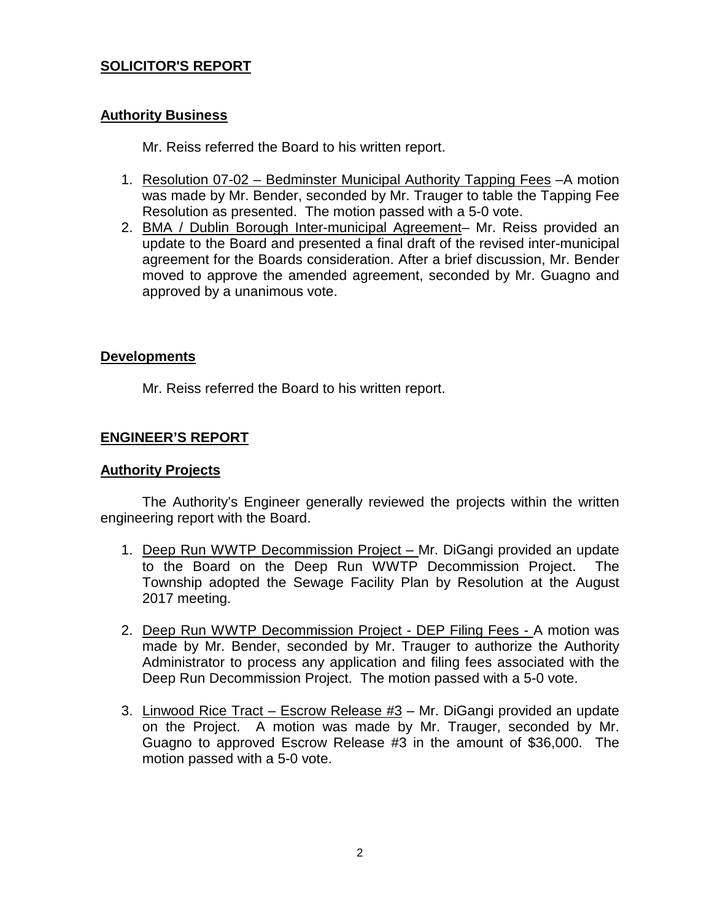# **SOLICITOR'S REPORT**

### **Authority Business**

Mr. Reiss referred the Board to his written report.

- 1. Resolution 07-02 Bedminster Municipal Authority Tapping Fees –A motion was made by Mr. Bender, seconded by Mr. Trauger to table the Tapping Fee Resolution as presented. The motion passed with a 5-0 vote.
- 2. BMA / Dublin Borough Inter-municipal Agreement– Mr. Reiss provided an update to the Board and presented a final draft of the revised inter-municipal agreement for the Boards consideration. After a brief discussion, Mr. Bender moved to approve the amended agreement, seconded by Mr. Guagno and approved by a unanimous vote.

#### **Developments**

Mr. Reiss referred the Board to his written report.

# **ENGINEER'S REPORT**

#### **Authority Projects**

The Authority's Engineer generally reviewed the projects within the written engineering report with the Board.

- 1. Deep Run WWTP Decommission Project Mr. DiGangi provided an update to the Board on the Deep Run WWTP Decommission Project. The Township adopted the Sewage Facility Plan by Resolution at the August 2017 meeting.
- 2. Deep Run WWTP Decommission Project DEP Filing Fees A motion was made by Mr. Bender, seconded by Mr. Trauger to authorize the Authority Administrator to process any application and filing fees associated with the Deep Run Decommission Project. The motion passed with a 5-0 vote.
- 3. Linwood Rice Tract Escrow Release #3 Mr. DiGangi provided an update on the Project. A motion was made by Mr. Trauger, seconded by Mr. Guagno to approved Escrow Release #3 in the amount of \$36,000. The motion passed with a 5-0 vote.